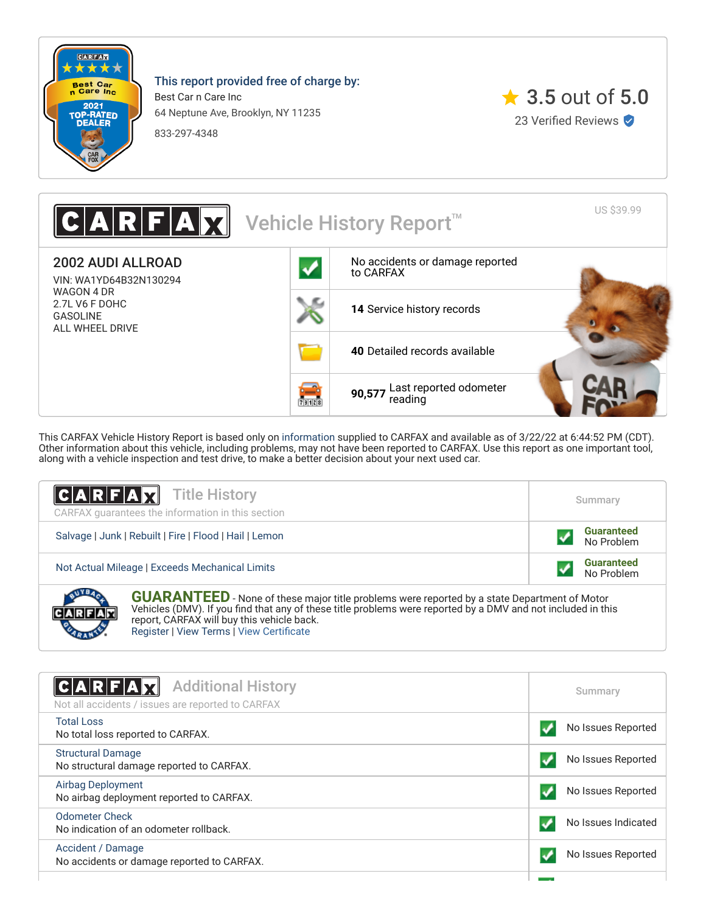

**CARABIA** 

This report provided free of charge by:

Best Car n Care Inc 64 Neptune Ave, Brooklyn, NY 11235

833-297-4348



US \$39.99 A  $\|\mathbf{X}\|$  Vehicle History Report 2002 AUDI ALLROAD [No accidents or damage reported](#page-0-0) to CARFAX VIN: WA1YD64B32N130294 WAGON 4 DR 2.7L V6 F DOHC **14** [Service history records](#page-1-0) GASOLINE ALL WHEEL DRIVE **40** [Detailed records available](#page-1-0) **90,577** [Last reported odometer](#page-1-0) reading**ZELLE** 

This CARFAX Vehicle History Report is based only on [information](http://www.carfax.com/company/vhr-data-sources) supplied to CARFAX and available as of 3/22/22 at 6:44:52 PM (CDT). Other information about this vehicle, including problems, may not have been reported to CARFAX. Use this report as one important tool, along with a vehicle inspection and test drive, to make a better decision about your next used car.

| <b>CARFAX</b> Title History<br>CARFAX quarantees the information in this section                                                                                                                                                                               | Summary                         |  |
|----------------------------------------------------------------------------------------------------------------------------------------------------------------------------------------------------------------------------------------------------------------|---------------------------------|--|
| Salvage   Junk   Rebuilt   Fire   Flood   Hail   Lemon                                                                                                                                                                                                         | <b>Guaranteed</b><br>No Problem |  |
| Not Actual Mileage   Exceeds Mechanical Limits                                                                                                                                                                                                                 | <b>Guaranteed</b><br>No Problem |  |
| <b>GUARANTEED</b> - None of these major title problems were reported by a state Department of Motor Vehicles (DMV). If you find that any of these title problems were reported by a DMV and not included in this<br>report, CARFAX will buy this vehicle back. |                                 |  |

[Register](https://www.carfax.com/Service/bbg) | [View Terms](http://www.carfaxonline.com/legal/bbgTerms) | [View Certificate](https://www.carfaxonline.com/vhrs/WA1YD64B32N130294)

<span id="page-0-0"></span>

| $C A R F A \vec{X}$<br><b>Additional History</b><br>Not all accidents / issues are reported to CARFAX | Summary             |
|-------------------------------------------------------------------------------------------------------|---------------------|
| Total Loss<br>No total loss reported to CARFAX.                                                       | No Issues Reported  |
| <b>Structural Damage</b><br>No structural damage reported to CARFAX.                                  | No Issues Reported  |
| <b>Airbag Deployment</b><br>No airbag deployment reported to CARFAX.                                  | No Issues Reported  |
| <b>Odometer Check</b><br>No indication of an odometer rollback.                                       | No Issues Indicated |
| Accident / Damage<br>No accidents or damage reported to CARFAX.                                       | No Issues Reported  |
|                                                                                                       |                     |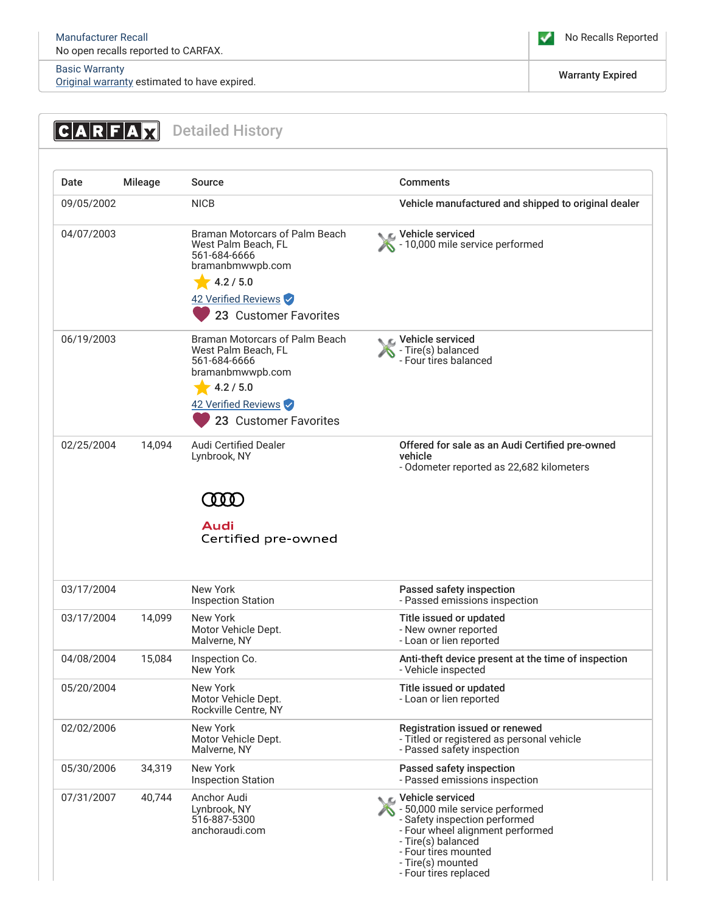# [Basic Warranty](https://www.carfaxonline.com/vhrs/defBasicWarranty)

Basic warranty<br><u>Original warranty</u> estimated to have expired. Warranty Expired in the set of the set of the set of the set of the set of the set of the set of the set of the set of the set of the set of the set of the set

No Recalls Reported

<span id="page-1-0"></span>

| $C A R F A \chi $        |                | <b>Detailed History</b>                                                                                                                                                         |                                                                                                                                                                                                                                |
|--------------------------|----------------|---------------------------------------------------------------------------------------------------------------------------------------------------------------------------------|--------------------------------------------------------------------------------------------------------------------------------------------------------------------------------------------------------------------------------|
| Date                     | <b>Mileage</b> | Source                                                                                                                                                                          | <b>Comments</b>                                                                                                                                                                                                                |
| 09/05/2002               |                | <b>NICB</b>                                                                                                                                                                     | Vehicle manufactured and shipped to original dealer                                                                                                                                                                            |
| 04/07/2003               |                | Braman Motorcars of Palm Beach<br>West Palm Beach, FL<br>561-684-6666<br>bramanbmwwpb.com<br>4.2 / 5.0<br>42 Verified Reviews                                                   | C Vehicle serviced<br>- 10,000 mile service performed                                                                                                                                                                          |
| 06/19/2003               |                | 23 Customer Favorites<br>Braman Motorcars of Palm Beach<br>West Palm Beach, FL<br>561-684-6666<br>bramanbmwwpb.com<br>4.2 / 5.0<br>42 Verified Reviews<br>23 Customer Favorites | Vehicle serviced<br>- Tire(s) balanced<br>- Four tires balanced                                                                                                                                                                |
| 02/25/2004               | 14,094         | <b>Audi Certified Dealer</b><br>Lynbrook, NY<br>000<br>Audi                                                                                                                     | Offered for sale as an Audi Certified pre-owned<br>vehicle<br>- Odometer reported as 22,682 kilometers                                                                                                                         |
| 03/17/2004<br>03/17/2004 | 14,099         | Certified pre-owned<br>New York<br><b>Inspection Station</b><br>New York                                                                                                        | Passed safety inspection<br>- Passed emissions inspection<br>Title issued or updated                                                                                                                                           |
|                          |                | Motor Vehicle Dept.<br>Malverne, NY                                                                                                                                             | New owner reported<br>- Loan or lien reported                                                                                                                                                                                  |
| 04/08/2004               | 15,084         | Inspection Co.<br>New York                                                                                                                                                      | Anti-theft device present at the time of inspection<br>- Vehicle inspected                                                                                                                                                     |
| 05/20/2004               |                | New York<br>Motor Vehicle Dept.<br>Rockville Centre, NY                                                                                                                         | Title issued or updated<br>- Loan or lien reported                                                                                                                                                                             |
| 02/02/2006               |                | New York<br>Motor Vehicle Dept.<br>Malverne, NY                                                                                                                                 | Registration issued or renewed<br>- Titled or registered as personal vehicle<br>- Passed safety inspection                                                                                                                     |
| 05/30/2006               | 34,319         | New York<br><b>Inspection Station</b>                                                                                                                                           | Passed safety inspection<br>- Passed emissions inspection                                                                                                                                                                      |
| 07/31/2007               | 40,744         | Anchor Audi<br>Lynbrook, NY<br>516-887-5300<br>anchoraudi.com                                                                                                                   | <b>NE</b> Vehicle serviced<br>- 50,000 mile service performed<br>- Safety inspection performed<br>- Four wheel alignment performed<br>- Tire(s) balanced<br>- Four tires mounted<br>- Tire(s) mounted<br>- Four tires replaced |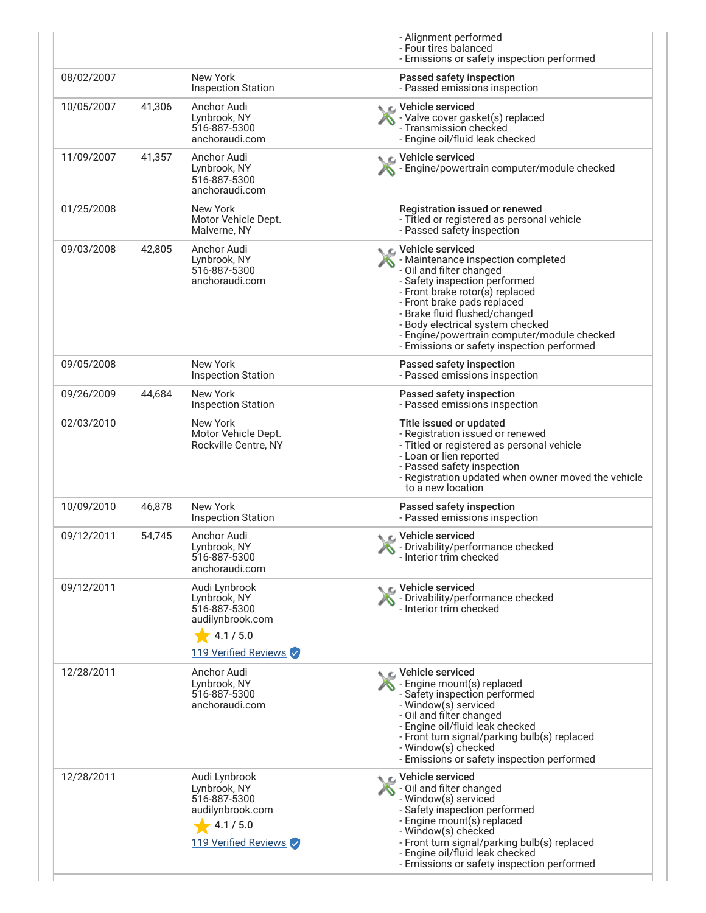|            |        |                                                                                                        | - Alignment performed<br>- Four tires balanced<br>- Emissions or safety inspection performed                                                                                                                                                                                                                                                              |
|------------|--------|--------------------------------------------------------------------------------------------------------|-----------------------------------------------------------------------------------------------------------------------------------------------------------------------------------------------------------------------------------------------------------------------------------------------------------------------------------------------------------|
| 08/02/2007 |        | New York<br><b>Inspection Station</b>                                                                  | Passed safety inspection<br>- Passed emissions inspection                                                                                                                                                                                                                                                                                                 |
| 10/05/2007 | 41,306 | Anchor Audi<br>Lynbrook, NY<br>516-887-5300<br>anchoraudi.com                                          | Vehicle serviced<br>- Valve cover gasket(s) replaced<br>- Transmission checked<br>- Engine oil/fluid leak checked                                                                                                                                                                                                                                         |
| 11/09/2007 | 41,357 | Anchor Audi<br>Lynbrook, NY<br>516-887-5300<br>anchoraudi.com                                          | Vehicle serviced<br>Engine/powertrain computer/module checked                                                                                                                                                                                                                                                                                             |
| 01/25/2008 |        | New York<br>Motor Vehicle Dept.<br>Malverne, NY                                                        | Registration issued or renewed<br>- Titled or registered as personal vehicle<br>- Passed safety inspection                                                                                                                                                                                                                                                |
| 09/03/2008 | 42,805 | Anchor Audi<br>Lynbrook, NY<br>516-887-5300<br>anchoraudi.com                                          | C Vehicle serviced<br>- Maintenance inspection completed<br>- Oil and filter changed<br>- Safety inspection performed<br>- Front brake rotor(s) replaced<br>- Front brake pads replaced<br>- Brake fluid flushed/changed<br>- Body electrical system checked<br>- Engine/powertrain computer/module checked<br>- Emissions or safety inspection performed |
| 09/05/2008 |        | New York<br><b>Inspection Station</b>                                                                  | Passed safety inspection<br>- Passed emissions inspection                                                                                                                                                                                                                                                                                                 |
| 09/26/2009 | 44,684 | New York<br><b>Inspection Station</b>                                                                  | Passed safety inspection<br>- Passed emissions inspection                                                                                                                                                                                                                                                                                                 |
| 02/03/2010 |        | New York<br>Motor Vehicle Dept.<br>Rockville Centre, NY                                                | Title issued or updated<br>- Registration issued or renewed<br>- Titled or registered as personal vehicle<br>- Loan or lien reported<br>- Passed safety inspection<br>- Registration updated when owner moved the vehicle<br>to a new location                                                                                                            |
| 10/09/2010 | 46,878 | New York<br><b>Inspection Station</b>                                                                  | Passed safety inspection<br>- Passed emissions inspection                                                                                                                                                                                                                                                                                                 |
| 09/12/2011 | 54,745 | Anchor Audi<br>Lynbrook, NY<br>516-887-5300<br>anchoraudi.com                                          | C Vehicle serviced<br>- Drivability/performance checked<br>ν<br>- Interior trim checked                                                                                                                                                                                                                                                                   |
| 09/12/2011 |        | Audi Lynbrook<br>Lynbrook, NY<br>516-887-5300<br>audilynbrook.com<br>4.1 / 5.0<br>119 Verified Reviews | Vehicle serviced<br>- Drivability/performance checked<br>- Interior trim checked                                                                                                                                                                                                                                                                          |
| 12/28/2011 |        | Anchor Audi<br>Lynbrook, NY<br>516-887-5300<br>anchoraudi.com                                          | C Vehicle serviced<br>- Engine mount(s) replaced<br>- Safety inspection performed<br>- Window(s) serviced<br>- Oil and filter changed<br>- Engine oil/fluid leak checked<br>- Front turn signal/parking bulb(s) replaced<br>- Window(s) checked<br>- Emissions or safety inspection performed                                                             |
| 12/28/2011 |        | Audi Lynbrook<br>Lynbrook, NY<br>516-887-5300<br>audilynbrook.com<br>4.1 / 5.0<br>119 Verified Reviews | C Vehicle serviced<br>- Oil and filter changed<br>- Window(s) serviced<br>- Safety inspection performed<br>- Engine mount(s) replaced<br>- Window(s) checked<br>- Front turn signal/parking bulb(s) replaced<br>- Engine oil/fluid leak checked<br>- Emissions or safety inspection performed                                                             |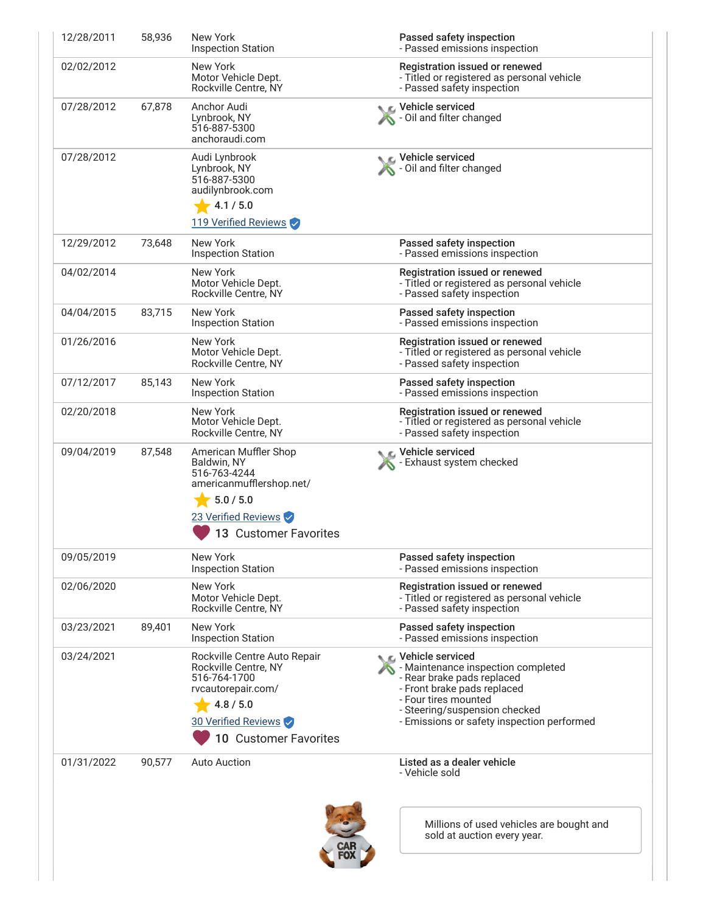| 12/28/2011 | 58,936 | New York<br><b>Inspection Station</b>                                                                                                                   | Passed safety inspection<br>- Passed emissions inspection                                                                                                                                                                    |
|------------|--------|---------------------------------------------------------------------------------------------------------------------------------------------------------|------------------------------------------------------------------------------------------------------------------------------------------------------------------------------------------------------------------------------|
| 02/02/2012 |        | New York<br>Motor Vehicle Dept.<br>Rockville Centre, NY                                                                                                 | Registration issued or renewed<br>- Titled or registered as personal vehicle<br>- Passed safety inspection                                                                                                                   |
| 07/28/2012 | 67,878 | Anchor Audi<br>Lynbrook, NY<br>516-887-5300<br>anchoraudi.com                                                                                           | Vehicle serviced<br><b>X</b> - Oil and filter changed                                                                                                                                                                        |
| 07/28/2012 |        | Audi Lynbrook<br>Lynbrook, NY<br>516-887-5300<br>audilynbrook.com<br>4.1 / 5.0<br>119 Verified Reviews                                                  | Vehicle serviced<br>- Oil and filter changed                                                                                                                                                                                 |
| 12/29/2012 | 73,648 | New York<br><b>Inspection Station</b>                                                                                                                   | Passed safety inspection<br>- Passed emissions inspection                                                                                                                                                                    |
| 04/02/2014 |        | New York<br>Motor Vehicle Dept.<br>Rockville Centre, NY                                                                                                 | Registration issued or renewed<br>- Titled or registered as personal vehicle<br>- Passed safety inspection                                                                                                                   |
| 04/04/2015 | 83,715 | New York<br><b>Inspection Station</b>                                                                                                                   | Passed safety inspection<br>- Passed emissions inspection                                                                                                                                                                    |
| 01/26/2016 |        | New York<br>Motor Vehicle Dept.<br>Rockville Centre, NY                                                                                                 | Registration issued or renewed<br>- Titled or registered as personal vehicle<br>- Passed safety inspection                                                                                                                   |
| 07/12/2017 | 85,143 | New York<br><b>Inspection Station</b>                                                                                                                   | Passed safety inspection<br>- Passed emissions inspection                                                                                                                                                                    |
| 02/20/2018 |        | New York<br>Motor Vehicle Dept.<br>Rockville Centre, NY                                                                                                 | Registration issued or renewed<br>- Titled or registered as personal vehicle<br>- Passed safety inspection                                                                                                                   |
| 09/04/2019 | 87,548 | American Muffler Shop<br>Baldwin, NY<br>516-763-4244<br>americanmufflershop.net/<br>5.0 / 5.0<br>23 Verified Reviews<br>13 Customer Favorites           | C Vehicle serviced<br>- Exhaust system checked                                                                                                                                                                               |
| 09/05/2019 |        | New York<br><b>Inspection Station</b>                                                                                                                   | Passed safety inspection<br>- Passed emissions inspection                                                                                                                                                                    |
| 02/06/2020 |        | New York<br>Motor Vehicle Dept.<br>Rockville Centre, NY                                                                                                 | Registration issued or renewed<br>- Titled or registered as personal vehicle<br>- Passed safety inspection                                                                                                                   |
| 03/23/2021 | 89,401 | New York<br><b>Inspection Station</b>                                                                                                                   | Passed safety inspection<br>- Passed emissions inspection                                                                                                                                                                    |
| 03/24/2021 |        | Rockville Centre Auto Repair<br>Rockville Centre, NY<br>516-764-1700<br>rvcautorepair.com/<br>4.8 / 5.0<br>30 Verified Reviews<br>10 Customer Favorites | C Vehicle serviced<br>- Maintenance inspection completed<br>- Rear brake pads replaced<br>- Front brake pads replaced<br>- Four tires mounted<br>- Steering/suspension checked<br>- Emissions or safety inspection performed |
| 01/31/2022 | 90,577 | <b>Auto Auction</b>                                                                                                                                     | Listed as a dealer vehicle<br>- Vehicle sold                                                                                                                                                                                 |
|            |        |                                                                                                                                                         | Millions of used vehicles are bought and<br>sold at auction every year.                                                                                                                                                      |